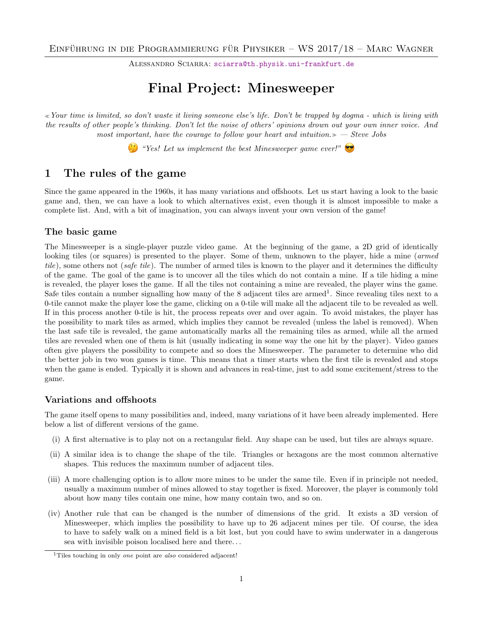ALESSANDRO SCIARRA: [sciarra@th.physik.uni-frankfurt.de](mailto:sciarra@th.physik.uni-frankfurt.de)

# Final Project: Minesweeper

Your time is limited, so don't waste it living someone else's life. Don't be trapped by dogma - which is living with the results of other people's thinking. Don't let the noise of others' opinions drown out your own inner voice. And most important, have the courage to follow your heart and intuition. $\gg$  - Steve Jobs

 $\mathbb{G}$  "Yes! Let us implement the best Minesweeper game ever!"

## <span id="page-0-1"></span>1 The rules of the game

Since the game appeared in the 1960s, it has many variations and offshoots. Let us start having a look to the basic game and, then, we can have a look to which alternatives exist, even though it is almost impossible to make a complete list. And, with a bit of imagination, you can always invent your own version of the game!

### The basic game

The Minesweeper is a single-player puzzle video game. At the beginning of the game, a 2D grid of identically looking tiles (or squares) is presented to the player. Some of them, unknown to the player, hide a mine (*armed* tile), some others not (safe tile). The number of armed tiles is known to the player and it determines the difficulty of the game. The goal of the game is to uncover all the tiles which do not contain a mine. If a tile hiding a mine is revealed, the player loses the game. If all the tiles not containing a mine are revealed, the player wins the game. Safe tiles contain a number signalling how many of the  $8$  adjacent tiles are armed<sup>[1](#page-0-0)</sup>. Since revealing tiles next to a 0-tile cannot make the player lose the game, clicking on a 0-tile will make all the adjacent tile to be revealed as well. If in this process another 0-tile is hit, the process repeats over and over again. To avoid mistakes, the player has the possibility to mark tiles as armed, which implies they cannot be revealed (unless the label is removed). When the last safe tile is revealed, the game automatically marks all the remaining tiles as armed, while all the armed tiles are revealed when one of them is hit (usually indicating in some way the one hit by the player). Video games often give players the possibility to compete and so does the Minesweeper. The parameter to determine who did the better job in two won games is time. This means that a timer starts when the first tile is revealed and stops when the game is ended. Typically it is shown and advances in real-time, just to add some excitement/stress to the game.

### Variations and offshoots

The game itself opens to many possibilities and, indeed, many variations of it have been already implemented. Here below a list of different versions of the game.

- (i) A first alternative is to play not on a rectangular field. Any shape can be used, but tiles are always square.
- (ii) A similar idea is to change the shape of the tile. Triangles or hexagons are the most common alternative shapes. This reduces the maximum number of adjacent tiles.
- (iii) A more challenging option is to allow more mines to be under the same tile. Even if in principle not needed, usually a maximum number of mines allowed to stay together is fixed. Moreover, the player is commonly told about how many tiles contain one mine, how many contain two, and so on.
- (iv) Another rule that can be changed is the number of dimensions of the grid. It exists a 3D version of Minesweeper, which implies the possibility to have up to 26 adjacent mines per tile. Of course, the idea to have to safely walk on a mined field is a bit lost, but you could have to swim underwater in a dangerous sea with invisible poison localised here and there. . .

<span id="page-0-0"></span><sup>&</sup>lt;sup>1</sup>Tiles touching in only *one* point are *also* considered adjacent!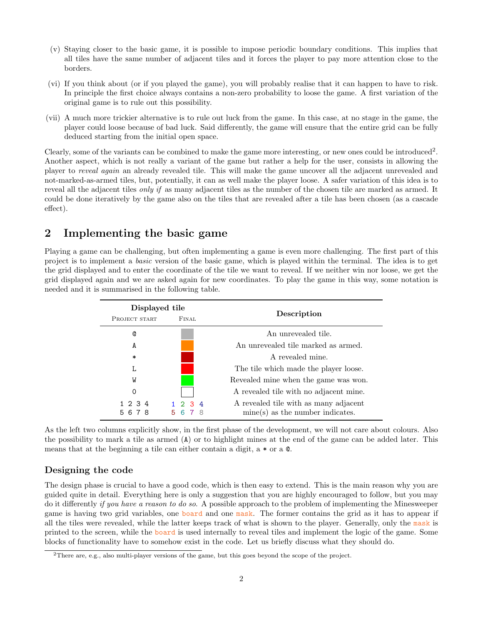- (v) Staying closer to the basic game, it is possible to impose periodic boundary conditions. This implies that all tiles have the same number of adjacent tiles and it forces the player to pay more attention close to the borders.
- <span id="page-1-2"></span>(vi) If you think about (or if you played the game), you will probably realise that it can happen to have to risk. In principle the first choice always contains a non-zero probability to loose the game. A first variation of the original game is to rule out this possibility.
- (vii) A much more trickier alternative is to rule out luck from the game. In this case, at no stage in the game, the player could loose because of bad luck. Said differently, the game will ensure that the entire grid can be fully deduced starting from the initial open space.

Clearly, some of the variants can be combined to make the game more interesting, or new ones could be introduced<sup>[2](#page-1-0)</sup>. Another aspect, which is not really a variant of the game but rather a help for the user, consists in allowing the player to reveal again an already revealed tile. This will make the game uncover all the adjacent unrevealed and not-marked-as-armed tiles, but, potentially, it can as well make the player loose. A safer variation of this idea is to reveal all the adjacent tiles *only if* as many adjacent tiles as the number of the chosen tile are marked as armed. It could be done iteratively by the game also on the tiles that are revealed after a tile has been chosen (as a cascade effect).

# <span id="page-1-1"></span>2 Implementing the basic game

Playing a game can be challenging, but often implementing a game is even more challenging. The first part of this project is to implement a basic version of the basic game, which is played within the terminal. The idea is to get the grid displayed and to enter the coordinate of the tile we want to reveal. If we neither win nor loose, we get the grid displayed again and we are asked again for new coordinates. To play the game in this way, some notation is needed and it is summarised in the following table.

| Displayed tile  |                                  |                                                                             |
|-----------------|----------------------------------|-----------------------------------------------------------------------------|
| PROJECT START   | FINAL                            | Description                                                                 |
| Q               |                                  | An unrevealed tile.                                                         |
| A               |                                  | An unrevealed tile marked as armed.                                         |
| $\ast$          |                                  | A revealed mine.                                                            |
| L               |                                  | The tile which made the player loose.                                       |
| W               |                                  | Revealed mine when the game was won.                                        |
| 0               |                                  | A revealed tile with no adjacent mine.                                      |
| 1 2 3 4<br>5678 | $1 \t2 \t3 \t4$<br>5.<br>-8<br>6 | A revealed tile with as many adjacent<br>$mine(s)$ as the number indicates. |

As the left two columns explicitly show, in the first phase of the development, we will not care about colours. Also the possibility to mark a tile as armed (A) or to highlight mines at the end of the game can be added later. This means that at the beginning a tile can either contain a digit,  $a * \text{ or } a \text{ } \text{\&}$ .

### Designing the code

The design phase is crucial to have a good code, which is then easy to extend. This is the main reason why you are guided quite in detail. Everything here is only a suggestion that you are highly encouraged to follow, but you may do it differently if you have a reason to do so. A possible approach to the problem of implementing the Minesweeper game is having two grid variables, one board and one mask. The former contains the grid as it has to appear if all the tiles were revealed, while the latter keeps track of what is shown to the player. Generally, only the mask is printed to the screen, while the board is used internally to reveal tiles and implement the logic of the game. Some blocks of functionality have to somehow exist in the code. Let us briefly discuss what they should do.

<span id="page-1-0"></span><sup>2</sup>There are, e.g., also multi-player versions of the game, but this goes beyond the scope of the project.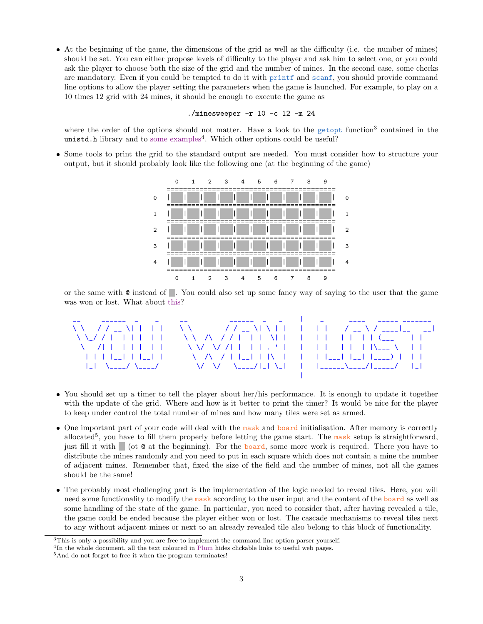At the beginning of the game, the dimensions of the grid as well as the difficulty (i.e. the number of mines) should be set. You can either propose levels of difficulty to the player and ask him to select one, or you could ask the player to choose both the size of the grid and the number of mines. In the second case, some checks are mandatory. Even if you could be tempted to do it with printf and scanf, you should provide command line options to allow the player setting the parameters when the game is launched. For example, to play on a 10 times 12 grid with 24 mines, it should be enough to execute the game as

./minesweeper -r 10 -c 12 -m 24

where the order of the options should not matter. Have a look to the getopt function<sup>[3](#page-2-0)</sup> contained in the unistd.h library and to [some examples](https://www.gnu.org/software/libc/manual/html_node/Getopt.html#Getopt)<sup>[4](#page-2-1)</sup>. Which other options could be useful?

 Some tools to print the grid to the standard output are needed. You must consider how to structure your output, but it should probably look like the following one (at the beginning of the game)



or the same with @ instead of . You could also set up some fancy way of saying to the user that the game was won or lost. What about [this?](http://patorjk.com/software/taag/#p=display&f=Graffiti&t=Type)



- You should set up a timer to tell the player about her/his performance. It is enough to update it together with the update of the grid. Where and how is it better to print the timer? It would be nice for the player to keep under control the total number of mines and how many tiles were set as armed.
- One important part of your code will deal with the mask and board initialisation. After memory is correctly allocated<sup>[5](#page-2-2)</sup>, you have to fill them properly before letting the game start. The mask setup is straightforward, just fill it with (ot  $\circ$  at the beginning). For the board, some more work is required. There you have to distribute the mines randomly and you need to put in each square which does not contain a mine the number of adjacent mines. Remember that, fixed the size of the field and the number of mines, not all the games should be the same!
- The probably most challenging part is the implementation of the logic needed to reveal tiles. Here, you will need some functionality to modify the mask according to the user input and the content of the **board** as well as some handling of the state of the game. In particular, you need to consider that, after having revealed a tile, the game could be ended because the player either won or lost. The cascade mechanisms to reveal tiles next to any without adjacent mines or next to an already revealed tile also belong to this block of functionality.

<span id="page-2-0"></span><sup>3</sup>This is only a possibility and you are free to implement the command line option parser yourself.

<span id="page-2-1"></span><sup>&</sup>lt;sup>4</sup>In the whole document, all the text coloured in Plum hides clickable links to useful web pages.

<span id="page-2-2"></span><sup>&</sup>lt;sup>5</sup>And do not forget to free it when the program terminates!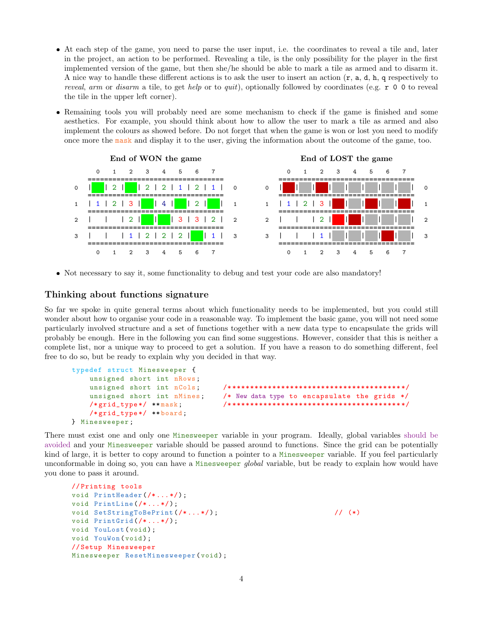- At each step of the game, you need to parse the user input, i.e. the coordinates to reveal a tile and, later in the project, an action to be performed. Revealing a tile, is the only possibility for the player in the first implemented version of the game, but then she/he should be able to mark a tile as armed and to disarm it. A nice way to handle these different actions is to ask the user to insert an action  $(r, a, d, h, q$  respectively to reveal, arm or disarm a tile, to get help or to quit), optionally followed by coordinates (e.g.  $r \circ \sigma$  to reveal the tile in the upper left corner).
- Remaining tools you will probably need are some mechanism to check if the game is finished and some aesthetics. For example, you should think about how to allow the user to mark a tile as armed and also implement the colours as showed before. Do not forget that when the game is won or lost you need to modify once more the mask and display it to the user, giving the information about the outcome of the game, too.



Not necessary to say it, some functionality to debug and test your code are also mandatory!

### Thinking about functions signature

So far we spoke in quite general terms about which functionality needs to be implemented, but you could still wonder about how to organise your code in a reasonable way. To implement the basic game, you will not need some particularly involved structure and a set of functions together with a new data type to encapsulate the grids will probably be enough. Here in the following you can find some suggestions. However, consider that this is neither a complete list, nor a unique way to proceed to get a solution. If you have a reason to do something different, feel free to do so, but be ready to explain why you decided in that way.

```
typedef struct Minesweeper {
    unsigned short int nRows ;
    unsigned short int nCols ; /* ************************************** */
    unsigned short int nMines; \quadNew data type to encapsulate the grids */
    /* grid_type */ ** mask ; /* ************************************** */
    /* grid_type */ ** board ;
} Minesweeper ;
```
There must exist one and only one Minesweeper variable in your program. Ideally, global variables [should be](https://stackoverflow.com/a/485020) [avoided](https://stackoverflow.com/a/485020) and your Minesweeper variable should be passed around to functions. Since the grid can be potentially kind of large, it is better to copy around to function a pointer to a Minesweeper variable. If you feel particularly unconformable in doing so, you can have a Minesweeper *global* variable, but be ready to explain how would have you done to pass it around.

```
// Printing tools
void PrintHeader (\frac{1}{\cdot} \cdot \cdot \cdot \cdot));
void PrintLine (/*...*/);
void SetStringToBePrint (\frac{1}{\cdot} \dots \cdot \frac{1}{\cdot}); \frac{1}{\cdot} (*)
void PrintGrid (/*...*/);
void YouLost (void);
void YouWon (void);
// Setup Minesweeper
Minesweeper ResetMinesweeper (void);
```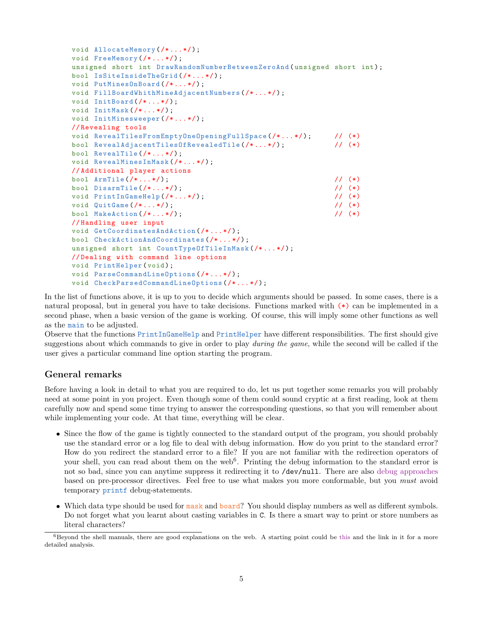```
void AllocateMemory (\nmid \cdot \ldots \cdot \nmid);
void FreeMemory (\nmid \cdot, \ldots \cdot \nmid);
unsigned short int DrawRandomNumberBetweenZeroAnd (unsigned short int);
bool IsSiteInsideTheGrid (/* ... */) ;
void PutMinesOnBoard (/*...*/);
void FillBoardWhithMineAdjacentNumbers (/* ... */) ;
void InitBoard (/*...*/);
void InitMask (\nmid \cdot \ldots \cdot \mid \cdot) ;
void InitMinesweeper (/* ... */) ;
// Revealing tools
void RevealTilesFromEmptyOneOpeningFullSpace(/*...*/); // (*)<br>bool RevealAdjacentTilesOfRevealedTile(/*...*/); // (*)
bool RevealAdjacentTilesOfRevealedTile (/*...*/);
bool RevealTile (/* ... */) ;
void RevealMinesInMask (/* ... */) ;
// Additional player actions
bool ArmTile (/* ... */) ; // (*)
bool DisarmTile (/* ... */) ; // (*)
void PrintInGameHelp (/*...*/); // (*)
void QuitGame (/*...*/); // (*)
bool MakeAction (/*...*/); <br> // (*)
// Handling user input
void GetCoordinatesAndAction (/* ... */) ;
bool CheckActionAndCoordinates (/* ... */) ;
unsigned short int CountTypeOfTileInMask (/* ... */) ;
// Dealing with command line options
void PrintHelper (void);
void ParseCommandLineOptions (/* ... */) ;
void CheckParsedCommandLineOptions (/* ... */) ;
```
In the list of functions above, it is up to you to decide which arguments should be passed. In some cases, there is a natural proposal, but in general you have to take decisions. Functions marked with (\*) can be implemented in a second phase, when a basic version of the game is working. Of course, this will imply some other functions as well as the main to be adjusted.

Observe that the functions PrintInGameHelp and PrintHelper have different responsibilities. The first should give suggestions about which commands to give in order to play *during the game*, while the second will be called if the user gives a particular command line option starting the program.

#### General remarks

Before having a look in detail to what you are required to do, let us put together some remarks you will probably need at some point in you project. Even though some of them could sound cryptic at a first reading, look at them carefully now and spend some time trying to answer the corresponding questions, so that you will remember about while implementing your code. At that time, everything will be clear.

- Since the flow of the game is tightly connected to the standard output of the program, you should probably use the standard error or a log file to deal with debug information. How do you print to the standard error? How do you redirect the standard error to a file? If you are not familiar with the redirection operators of your shell, you can read about them on the web<sup>[6](#page-4-0)</sup>. Printing the debug information to the standard error is not so bad, since you can anytime suppress it redirecting it to /dev/null. There are also [debug approaches](https://stackoverflow.com/questions/1644868/c-define-macro-for-debug-printing) based on pre-processor directives. Feel free to use what makes you more conformable, but you must avoid temporary printf debug-statements.
- Which data type should be used for mask and board? You should display numbers as well as different symbols. Do not forget what you learnt about casting variables in C. Is there a smart way to print or store numbers as literal characters?

<span id="page-4-0"></span><sup>6</sup>Beyond the shell manuals, there are good explanations on the web. A starting point could be [this](https://askubuntu.com/a/625230) and the link in it for a more detailed analysis.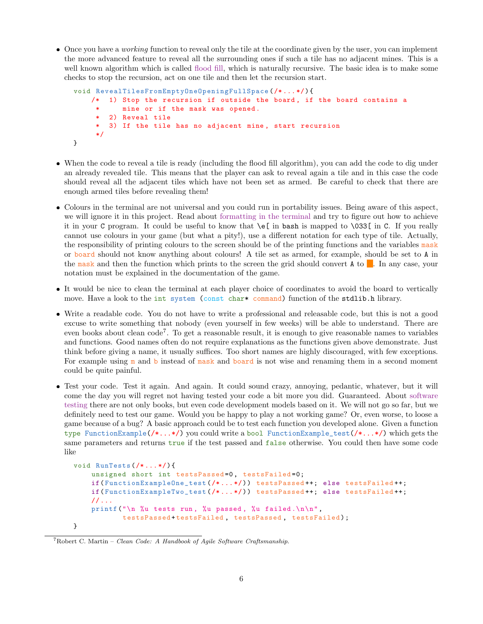• Once you have a *working* function to reveal only the tile at the coordinate given by the user, you can implement the more advanced feature to reveal all the surrounding ones if such a tile has no adjacent mines. This is a well known algorithm which is called [flood fill,](https://en.wikipedia.org/wiki/Flood_fill) which is naturally recursive. The basic idea is to make some checks to stop the recursion, act on one tile and then let the recursion start.

```
void RevealTilesFromEmptyOneOpeningFullSpace (/* ... */) {
    /* 1) Stop the recursion if outside the board, if the board contains a
     * mine or if the mask was opened .
     * 2) Reveal tile
     * 3) If the tile has no adjacent mine , start recursion
     */
}
```
- When the code to reveal a tile is ready (including the flood fill algorithm), you can add the code to dig under an already revealed tile. This means that the player can ask to reveal again a tile and in this case the code should reveal all the adjacent tiles which have not been set as armed. Be careful to check that there are enough armed tiles before revealing them!
- Colours in the terminal are not universal and you could run in portability issues. Being aware of this aspect, we will ignore it in this project. Read about [formatting in the terminal](https://misc.flogisoft.com/bash/tip_colors_and_formatting) and try to figure out how to achieve it in your C program. It could be useful to know that \e[ in bash is mapped to \033[ in C. If you really cannot use colours in your game (but what a pity!), use a different notation for each type of tile. Actually, the responsibility of printing colours to the screen should be of the printing functions and the variables mask or board should not know anything about colours! A tile set as armed, for example, should be set to A in the mask and then the function which prints to the screen the grid should convert  $A$  to  $\blacksquare$ . In any case, your notation must be explained in the documentation of the game.
- It would be nice to clean the terminal at each player choice of coordinates to avoid the board to vertically move. Have a look to the int system (const char\* command) function of the stdlib.h library.
- Write a readable code. You do not have to write a professional and releasable code, but this is not a good excuse to write something that nobody (even yourself in few weeks) will be able to understand. There are even books about clean code<sup>[7](#page-5-0)</sup>. To get a reasonable result, it is enough to give reasonable names to variables and functions. Good names often do not require explanations as the functions given above demonstrate. Just think before giving a name, it usually suffices. Too short names are highly discouraged, with few exceptions. For example using  $m$  and b instead of mask and board is not wise and renaming them in a second moment could be quite painful.
- Test your code. Test it again. And again. It could sound crazy, annoying, pedantic, whatever, but it will come the day you will regret not having tested your code a bit more you did. Guaranteed. About [software](https://en.wikipedia.org/wiki/Software_testing) [testing](https://en.wikipedia.org/wiki/Software_testing) there are not only books, but even code development models based on it. We will not go so far, but we definitely need to test our game. Would you be happy to play a not working game? Or, even worse, to loose a game because of a bug? A basic approach could be to test each function you developed alone. Given a function type FunctionExample(/\*...\*/) you could write a bool FunctionExample\_test(/\*...\*/) which gets the same parameters and returns true if the test passed and false otherwise. You could then have some code like

```
void RunTests (/* ... */) {
    unsigned short int testsPassed=0, testsFailed=0;
    if( FunctionExampleOne_test (/* ... */) ) testsPassed ++; else testsFailed ++;
    if( FunctionExampleTwo_test (/* ... */) ) testsPassed ++; else testsFailed ++;
    // ...
    printf ("\n %u tests run, %u passed, %u failed.\n\n",
            testsPassed+testsFailed, testsPassed, testsFailed);
}
```

```
7Robert C. Martin – Clean Code: A Handbook of Agile Software Craftsmanship.
```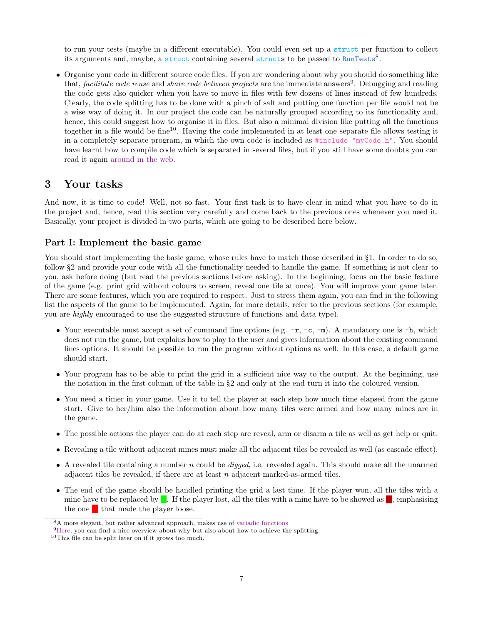to run your tests (maybe in a different executable). You could even set up a struct per function to collect its arguments and, maybe, a struct containing several structs to be passed to RunTests<sup>[8](#page-6-0)</sup>.

 Organise your code in different source code files. If you are wondering about why you should do something like that, *facilitate code reuse* and *share code between projects* are the immediate answers<sup>[9](#page-6-1)</sup>. Debugging and reading the code gets also quicker when you have to move in files with few dozens of lines instead of few hundreds. Clearly, the code splitting has to be done with a pinch of salt and putting one function per file would not be a wise way of doing it. In our project the code can be naturally grouped according to its functionality and, hence, this could suggest how to organise it in files. But also a minimal division like putting all the functions together in a file would be fine<sup>[10](#page-6-2)</sup>. Having the code implemented in at least one separate file allows testing it in a completely separate program, in which the own code is included as  $\#\text{include }$  "myCode.h". You should have learnt how to compile code which is separated in several files, but if you still have some doubts you can read it again [around in the web.](http://www.gribblelab.org/CBootCamp/12_Compiling_linking_Makefile_header_files.html)

### 3 Your tasks

And now, it is time to code! Well, not so fast. Your first task is to have clear in mind what you have to do in the project and, hence, read this section very carefully and come back to the previous ones whenever you need it. Basically, your project is divided in two parts, which are going to be described here below.

#### Part I: Implement the basic game

You should start implementing the basic game, whose rules have to match those described in §[1.](#page-0-1) In order to do so, follow §[2](#page-1-1) and provide your code with all the functionality needed to handle the game. If something is not clear to you, ask before doing (but read the previous sections before asking). In the beginning, focus on the basic feature of the game (e.g. print grid without colours to screen, reveal one tile at once). You will improve your game later. There are some features, which you are required to respect. Just to stress them again, you can find in the following list the aspects of the game to be implemented. Again, for more details, refer to the previous sections (for example, you are highly encouraged to use the suggested structure of functions and data type).

- Your executable must accept a set of command line options (e.g.  $-r$ ,  $-c$ ,  $-m$ ). A mandatory one is  $-h$ , which does not run the game, but explains how to play to the user and gives information about the existing command lines options. It should be possible to run the program without options as well. In this case, a default game should start.
- Your program has to be able to print the grid in a sufficient nice way to the output. At the beginning, use the notation in the first column of the table in §[2](#page-1-1) and only at the end turn it into the coloured version.
- You need a timer in your game. Use it to tell the player at each step how much time elapsed from the game start. Give to her/him also the information about how many tiles were armed and how many mines are in the game.
- The possible actions the player can do at each step are reveal, arm or disarm a tile as well as get help or quit.
- Revealing a tile without adjacent mines must make all the adjacent tiles be revealed as well (as cascade effect).
- $\bullet$  A revealed tile containing a number n could be *digged*, i.e. revealed again. This should make all the unarmed adjacent tiles be revealed, if there are at least  $n$  adjacent marked-as-armed tiles.
- The end of the game should be handled printing the grid a last time. If the player won, all the tiles with a mine have to be replaced by  $\blacksquare$ . If the player lost, all the tiles with a mine have to be showed as  $\blacksquare$ , emphasising the one  $\blacksquare$  that made the player loose.

<span id="page-6-0"></span><sup>8</sup>A more elegant, but rather advanced approach, makes use of [variadic functions](http://en.cppreference.com/w/c/variadic)

<span id="page-6-1"></span><sup>&</sup>lt;sup>9</sup>[Here,](https://www.gamedev.net/articles/programming/general-and-gameplay-programming/organizing-code-files-in-c-and-c-r3173) you can find a nice overview about why but also about how to achieve the splitting.

<span id="page-6-2"></span><sup>10</sup>This file can be split later on if it grows too much.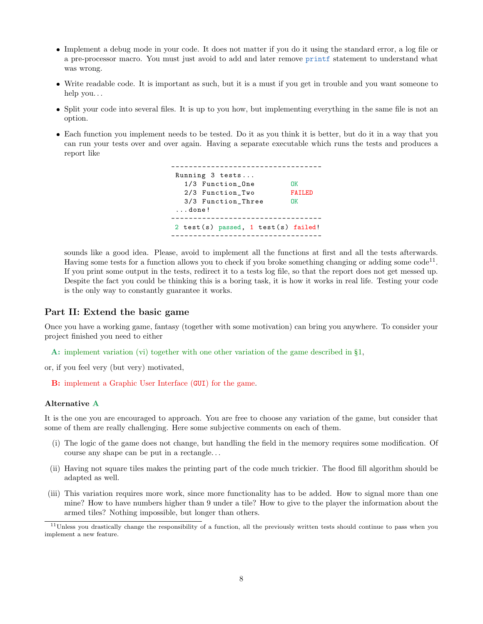- Implement a debug mode in your code. It does not matter if you do it using the standard error, a log file or a pre-processor macro. You must just avoid to add and later remove printf statement to understand what was wrong.
- Write readable code. It is important as such, but it is a must if you get in trouble and you want someone to help you. . .
- Split your code into several files. It is up to you how, but implementing everything in the same file is not an option.
- Each function you implement needs to be tested. Do it as you think it is better, but do it in a way that you can run your tests over and over again. Having a separate executable which runs the tests and produces a report like

---------------------------------- Running 3 tests ... 1/3 Function\_One OK 2/3 Function\_Two FAILED 3/3 Function\_Three OK ... done ! ----------------------------------  $2 \text{ test(s)}$  passed,  $1 \text{ test(s)}$  failed! ----------------------------------

sounds like a good idea. Please, avoid to implement all the functions at first and all the tests afterwards. Having some tests for a function allows you to check if you broke something changing or adding some  $\text{code}^{11}$  $\text{code}^{11}$  $\text{code}^{11}$ . If you print some output in the tests, redirect it to a tests log file, so that the report does not get messed up. Despite the fact you could be thinking this is a boring task, it is how it works in real life. Testing your code is the only way to constantly guarantee it works.

#### Part II: Extend the basic game

Once you have a working game, fantasy (together with some motivation) can bring you anywhere. To consider your project finished you need to either

A: implement variation [\(vi\)](#page-1-2) together with one other variation of the game described in §[1,](#page-0-1)

or, if you feel very (but very) motivated,

B: implement a Graphic User Interface (GUI) for the game.

#### Alternative A

It is the one you are encouraged to approach. You are free to choose any variation of the game, but consider that some of them are really challenging. Here some subjective comments on each of them.

- (i) The logic of the game does not change, but handling the field in the memory requires some modification. Of course any shape can be put in a rectangle. . .
- (ii) Having not square tiles makes the printing part of the code much trickier. The flood fill algorithm should be adapted as well.
- (iii) This variation requires more work, since more functionality has to be added. How to signal more than one mine? How to have numbers higher than 9 under a tile? How to give to the player the information about the armed tiles? Nothing impossible, but longer than others.

<span id="page-7-0"></span> $11$ Unless you drastically change the responsibility of a function, all the previously written tests should continue to pass when you implement a new feature.